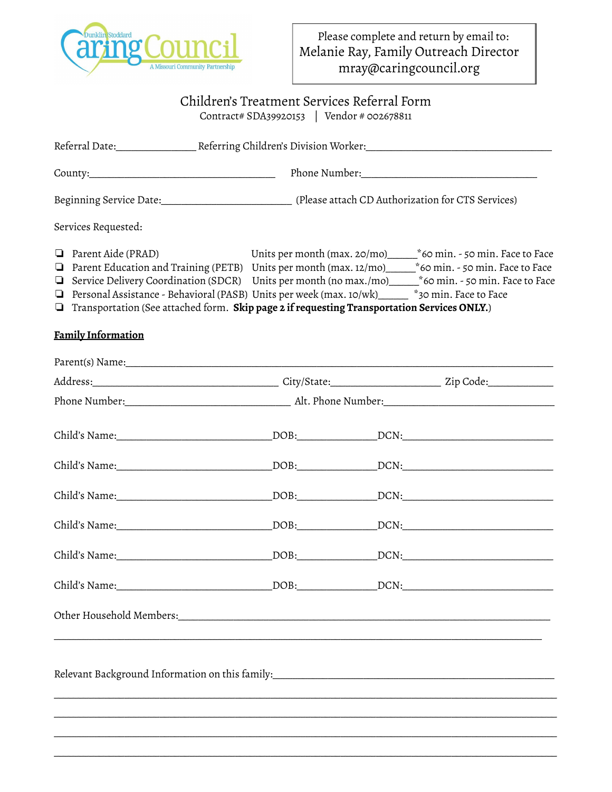

## Children's Treatment Services Referral Form

Contract# SDA39920153 | Vendor # 002678811

| Services Requested:                                                                                                                                                                                                                                                                                                                                                                                                                 |  |  |                       |
|-------------------------------------------------------------------------------------------------------------------------------------------------------------------------------------------------------------------------------------------------------------------------------------------------------------------------------------------------------------------------------------------------------------------------------------|--|--|-----------------------|
| $\Box$ Parent Aide (PRAD)<br><b>Q</b> Parent Education and Training (PETB) Units per month (max. $12/mol$ $*60$ min. - 50 min. Face to Face<br>□ Service Delivery Coordination (SDCR) Units per month (no max./mo)_____*60 min. - 50 min. Face to Face<br>Personal Assistance - Behavioral (PASB) Units per week (max. 10/wk)<br>$\Box$ Transportation (See attached form. Skip page 2 if requesting Transportation Services ONLY.) |  |  | *30 min. Face to Face |
| <b>Family Information</b>                                                                                                                                                                                                                                                                                                                                                                                                           |  |  |                       |
|                                                                                                                                                                                                                                                                                                                                                                                                                                     |  |  |                       |
|                                                                                                                                                                                                                                                                                                                                                                                                                                     |  |  |                       |
|                                                                                                                                                                                                                                                                                                                                                                                                                                     |  |  |                       |
|                                                                                                                                                                                                                                                                                                                                                                                                                                     |  |  |                       |
|                                                                                                                                                                                                                                                                                                                                                                                                                                     |  |  |                       |
|                                                                                                                                                                                                                                                                                                                                                                                                                                     |  |  |                       |
|                                                                                                                                                                                                                                                                                                                                                                                                                                     |  |  |                       |
|                                                                                                                                                                                                                                                                                                                                                                                                                                     |  |  |                       |
|                                                                                                                                                                                                                                                                                                                                                                                                                                     |  |  |                       |
| Relevant Background Information on this family: [10] Daniel Communications and the Relevant Background Information on this family:                                                                                                                                                                                                                                                                                                  |  |  |                       |
|                                                                                                                                                                                                                                                                                                                                                                                                                                     |  |  |                       |

\_\_\_\_\_\_\_\_\_\_\_\_\_\_\_\_\_\_\_\_\_\_\_\_\_\_\_\_\_\_\_\_\_\_\_\_\_\_\_\_\_\_\_\_\_\_\_\_\_\_\_\_\_\_\_\_\_\_\_\_\_\_\_\_\_\_\_\_\_\_\_\_\_\_\_\_\_\_\_\_\_\_\_\_\_\_\_\_\_\_\_\_\_\_\_\_\_\_\_\_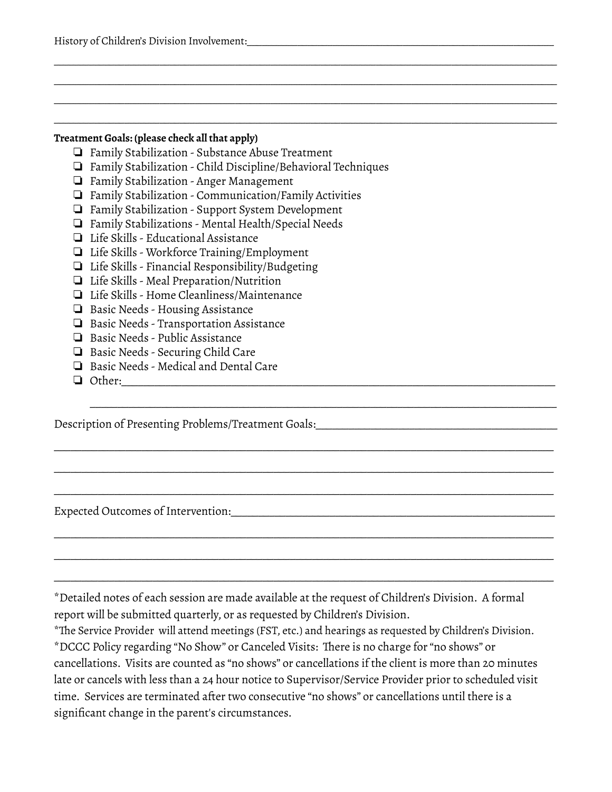History of Children's Division Involvement:

#### **Treatment Goals: (please check all that apply)**

- ❏ Family Stabilization Substance Abuse Treatment
- ❏ Family Stabilization Child Discipline/Behavioral Techniques

\_\_\_\_\_\_\_\_\_\_\_\_\_\_\_\_\_\_\_\_\_\_\_\_\_\_\_\_\_\_\_\_\_\_\_\_\_\_\_\_\_\_\_\_\_\_\_\_\_\_\_\_\_\_\_\_\_\_\_\_\_\_\_\_\_\_\_\_\_\_\_\_\_\_\_\_\_\_\_\_\_\_\_\_\_\_\_\_\_\_\_\_\_\_\_\_\_\_\_\_ \_\_\_\_\_\_\_\_\_\_\_\_\_\_\_\_\_\_\_\_\_\_\_\_\_\_\_\_\_\_\_\_\_\_\_\_\_\_\_\_\_\_\_\_\_\_\_\_\_\_\_\_\_\_\_\_\_\_\_\_\_\_\_\_\_\_\_\_\_\_\_\_\_\_\_\_\_\_\_\_\_\_\_\_\_\_\_\_\_\_\_\_\_\_\_\_\_\_\_\_ \_\_\_\_\_\_\_\_\_\_\_\_\_\_\_\_\_\_\_\_\_\_\_\_\_\_\_\_\_\_\_\_\_\_\_\_\_\_\_\_\_\_\_\_\_\_\_\_\_\_\_\_\_\_\_\_\_\_\_\_\_\_\_\_\_\_\_\_\_\_\_\_\_\_\_\_\_\_\_\_\_\_\_\_\_\_\_\_\_\_\_\_\_\_\_\_\_\_\_\_ \_\_\_\_\_\_\_\_\_\_\_\_\_\_\_\_\_\_\_\_\_\_\_\_\_\_\_\_\_\_\_\_\_\_\_\_\_\_\_\_\_\_\_\_\_\_\_\_\_\_\_\_\_\_\_\_\_\_\_\_\_\_\_\_\_\_\_\_\_\_\_\_\_\_\_\_\_\_\_\_\_\_\_\_\_\_\_\_\_\_\_\_\_\_\_\_\_\_\_\_

- ❏ Family Stabilization Anger Management
- ❏ Family Stabilization Communication/Family Activities
- ❏ Family Stabilization Support System Development
- ❏ Family Stabilizations Mental Health/Special Needs
- ❏ Life Skills Educational Assistance
- ❏ Life Skills Workforce Training/Employment
- ❏ Life Skills Financial Responsibility/Budgeting
- ❏ Life Skills Meal Preparation/Nutrition
- ❏ Life Skills Home Cleanliness/Maintenance
- ❏ Basic Needs Housing Assistance
- ❏ Basic Needs Transportation Assistance
- ❏ Basic Needs Public Assistance
- ❏ Basic Needs Securing Child Care
- ❏ Basic Needs Medical and Dental Care
- ❏ Other:\_\_\_\_\_\_\_\_\_\_\_\_\_\_\_\_\_\_\_\_\_\_\_\_\_\_\_\_\_\_\_\_\_\_\_\_\_\_\_\_\_\_\_\_\_\_\_\_\_\_\_\_\_\_\_\_\_\_\_\_\_\_\_\_\_\_\_\_\_\_\_\_\_\_\_\_\_\_\_

Description of Presenting Problems/Treatment Goals:\_\_\_\_\_\_\_\_\_\_\_\_\_\_\_\_\_\_\_\_\_\_\_\_\_\_\_\_\_\_

Expected Outcomes of Intervention:\_\_\_\_\_\_\_\_\_\_\_\_\_\_\_\_\_\_\_\_\_\_\_\_\_\_\_\_\_\_\_\_\_\_\_\_\_\_\_\_\_\_\_\_\_\_\_\_\_\_\_\_\_\_\_\_\_\_\_

\*Detailed notes of each session are made available at the request of Children's Division. A formal report will be submitted quarterly, or as requested by Children's Division.

\_\_\_\_\_\_\_\_\_\_\_\_\_\_\_\_\_\_\_\_\_\_\_\_\_\_\_\_\_\_\_\_\_\_\_\_\_\_\_\_\_\_\_\_\_\_\_\_\_\_\_\_\_\_\_\_\_\_\_\_\_\_\_\_\_\_\_\_\_\_\_\_\_\_\_\_\_\_\_\_\_\_\_\_\_

\_\_\_\_\_\_\_\_\_\_\_\_\_\_\_\_\_\_\_\_\_\_\_\_\_\_\_\_\_\_\_\_\_\_\_\_\_\_\_\_\_\_\_\_\_\_\_\_\_\_\_\_\_\_\_\_\_\_\_\_\_\_\_\_\_\_\_\_\_\_\_\_\_\_\_\_\_\_\_\_\_\_\_\_\_\_\_\_\_\_\_

\_\_\_\_\_\_\_\_\_\_\_\_\_\_\_\_\_\_\_\_\_\_\_\_\_\_\_\_\_\_\_\_\_\_\_\_\_\_\_\_\_\_\_\_\_\_\_\_\_\_\_\_\_\_\_\_\_\_\_\_\_\_\_\_\_\_\_\_\_\_\_\_\_\_\_\_\_\_\_\_\_\_\_\_\_\_\_\_\_\_\_

\_\_\_\_\_\_\_\_\_\_\_\_\_\_\_\_\_\_\_\_\_\_\_\_\_\_\_\_\_\_\_\_\_\_\_\_\_\_\_\_\_\_\_\_\_\_\_\_\_\_\_\_\_\_\_\_\_\_\_\_\_\_\_\_\_\_\_\_\_\_\_\_\_\_\_\_\_\_\_\_\_\_\_\_\_\_\_\_\_\_\_

\_\_\_\_\_\_\_\_\_\_\_\_\_\_\_\_\_\_\_\_\_\_\_\_\_\_\_\_\_\_\_\_\_\_\_\_\_\_\_\_\_\_\_\_\_\_\_\_\_\_\_\_\_\_\_\_\_\_\_\_\_\_\_\_\_\_\_\_\_\_\_\_\_\_\_\_\_\_\_\_\_\_\_\_\_\_\_\_\_\_\_

\_\_\_\_\_\_\_\_\_\_\_\_\_\_\_\_\_\_\_\_\_\_\_\_\_\_\_\_\_\_\_\_\_\_\_\_\_\_\_\_\_\_\_\_\_\_\_\_\_\_\_\_\_\_\_\_\_\_\_\_\_\_\_\_\_\_\_\_\_\_\_\_\_\_\_\_\_\_\_\_\_\_\_\_\_\_\_\_\_\_\_

\_\_\_\_\_\_\_\_\_\_\_\_\_\_\_\_\_\_\_\_\_\_\_\_\_\_\_\_\_\_\_\_\_\_\_\_\_\_\_\_\_\_\_\_\_\_\_\_\_\_\_\_\_\_\_\_\_\_\_\_\_\_\_\_\_\_\_\_\_\_\_\_\_\_\_\_\_\_\_\_\_\_\_\_\_\_\_\_\_\_\_

\*The Service Provider will attend meetings (FST, etc.) and hearings as requested by Children's Division. \*DCCC Policy regarding "No Show" or Canceled Visits: There is no charge for"no shows" or cancellations. Visits are counted as "no shows" or cancellations if the client is more than 20 minutes late or cancels with less than a 24 hour notice to Supervisor/Service Provider prior to scheduled visit time. Services are terminated after two consecutive "no shows" or cancellations until there is a significant change in the parent's circumstances.